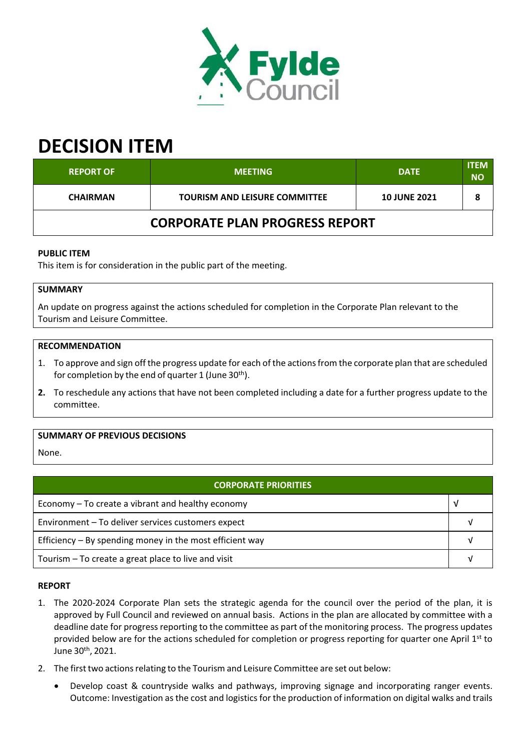

# **DECISION ITEM**

| <b>REPORT OF</b>                      | <b>MEETING</b>                       | <b>DATE</b>         | <b>ITEM</b><br><b>NO</b> |  |  |
|---------------------------------------|--------------------------------------|---------------------|--------------------------|--|--|
| <b>CHAIRMAN</b>                       | <b>TOURISM AND LEISURE COMMITTEE</b> | <b>10 JUNE 2021</b> |                          |  |  |
| <b>CORPORATE PLAN PROGRESS REPORT</b> |                                      |                     |                          |  |  |

# **PUBLIC ITEM**

This item is for consideration in the public part of the meeting.

# **SUMMARY**

An update on progress against the actions scheduled for completion in the Corporate Plan relevant to the Tourism and Leisure Committee.

#### **RECOMMENDATION**

- 1. To approve and sign off the progress update for each of the actionsfrom the corporate plan that are scheduled for completion by the end of quarter 1 (June 30<sup>th</sup>).
- **2.** To reschedule any actions that have not been completed including a date for a further progress update to the committee.

## **SUMMARY OF PREVIOUS DECISIONS**

None.

| <b>CORPORATE PRIORITIES</b>                              |  |  |  |
|----------------------------------------------------------|--|--|--|
| Economy – To create a vibrant and healthy economy        |  |  |  |
| Environment - To deliver services customers expect       |  |  |  |
| Efficiency – By spending money in the most efficient way |  |  |  |
| Tourism - To create a great place to live and visit      |  |  |  |

#### **REPORT**

- 1. The 2020‐2024 Corporate Plan sets the strategic agenda for the council over the period of the plan, it is approved by Full Council and reviewed on annual basis. Actions in the plan are allocated by committee with a deadline date for progress reporting to the committee as part of the monitoring process. The progress updates provided below are for the actions scheduled for completion or progress reporting for quarter one April 1<sup>st</sup> to June 30<sup>th</sup>, 2021.
- 2. The first two actions relating to the Tourism and Leisure Committee are set out below:
	- Develop coast & countryside walks and pathways, improving signage and incorporating ranger events. Outcome: Investigation as the cost and logistics for the production of information on digital walks and trails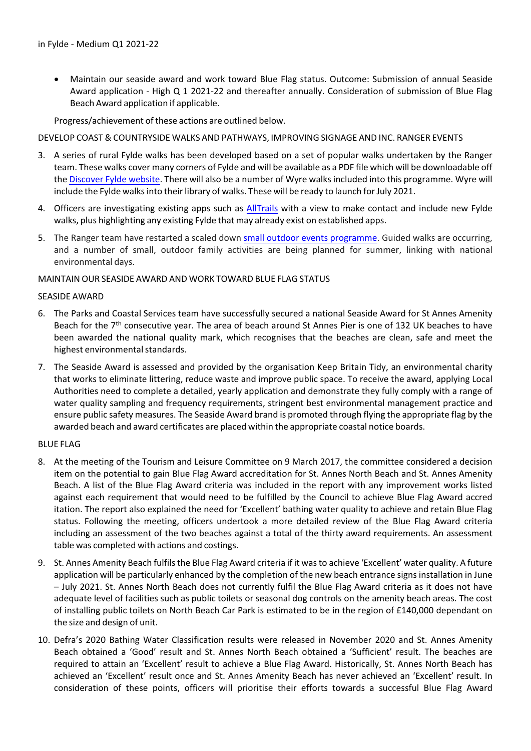Maintain our seaside award and work toward Blue Flag status. Outcome: Submission of annual Seaside Award application ‐ High Q 1 2021‐22 and thereafter annually. Consideration of submission of Blue Flag Beach Award application if applicable.

Progress/achievement of these actions are outlined below.

#### DEVELOP COAST & COUNTRYSIDE WALKS AND PATHWAYS, IMPROVING SIGNAGE AND INC. RANGER EVENTS

- 3. A series of rural Fylde walks has been developed based on a set of popular walks undertaken by the Ranger team. These walks cover many corners of Fylde and will be available as a PDF file which will be downloadable off the Discover Fylde website. There will also be a number of Wyre walks included into this programme. Wyre will include the Fylde walks into their library of walks. These will be ready to launch for July 2021.
- 4. Officers are investigating existing apps such as AllTrails with a view to make contact and include new Fylde walks, plus highlighting any existing Fylde that may already exist on established apps.
- 5. The Ranger team have restarted a scaled down small outdoor events programme. Guided walks are occurring, and a number of small, outdoor family activities are being planned for summer, linking with national environmental days.

## MAINTAIN OUR SEASIDE AWARD AND WORK TOWARD BLUE FLAG STATUS

#### SEASIDE AWARD

- 6. The Parks and Coastal Services team have successfully secured a national Seaside Award for St Annes Amenity Beach for the 7<sup>th</sup> consecutive year. The area of beach around St Annes Pier is one of 132 UK beaches to have been awarded the national quality mark, which recognises that the beaches are clean, safe and meet the highest environmental standards.
- 7. The Seaside Award is assessed and provided by the organisation Keep Britain Tidy, an environmental charity that works to eliminate littering, reduce waste and improve public space. To receive the award, applying Local Authorities need to complete a detailed, yearly application and demonstrate they fully comply with a range of water quality sampling and frequency requirements, stringent best environmental management practice and ensure public safety measures. The Seaside Award brand is promoted through flying the appropriate flag by the awarded beach and award certificates are placed within the appropriate coastal notice boards.

#### BLUE FLAG

- 8. At the meeting of the Tourism and Leisure Committee on 9 March 2017, the committee considered a decision item on the potential to gain Blue Flag Award accreditation for St. Annes North Beach and St. Annes Amenity Beach. A list of the Blue Flag Award criteria was included in the report with any improvement works listed against each requirement that would need to be fulfilled by the Council to achieve Blue Flag Award accred itation. The report also explained the need for 'Excellent' bathing water quality to achieve and retain Blue Flag status. Following the meeting, officers undertook a more detailed review of the Blue Flag Award criteria including an assessment of the two beaches against a total of the thirty award requirements. An assessment table was completed with actions and costings.
- 9. St. Annes Amenity Beach fulfils the Blue Flag Award criteria if it was to achieve 'Excellent' water quality. A future application will be particularly enhanced by the completion of the new beach entrance signs installation in June – July 2021. St. Annes North Beach does not currently fulfil the Blue Flag Award criteria as it does not have adequate level of facilities such as public toilets or seasonal dog controls on the amenity beach areas. The cost of installing public toilets on North Beach Car Park is estimated to be in the region of £140,000 dependant on the size and design of unit.
- 10. Defra's 2020 Bathing Water Classification results were released in November 2020 and St. Annes Amenity Beach obtained a 'Good' result and St. Annes North Beach obtained a 'Sufficient' result. The beaches are required to attain an 'Excellent' result to achieve a Blue Flag Award. Historically, St. Annes North Beach has achieved an 'Excellent' result once and St. Annes Amenity Beach has never achieved an 'Excellent' result. In consideration of these points, officers will prioritise their efforts towards a successful Blue Flag Award